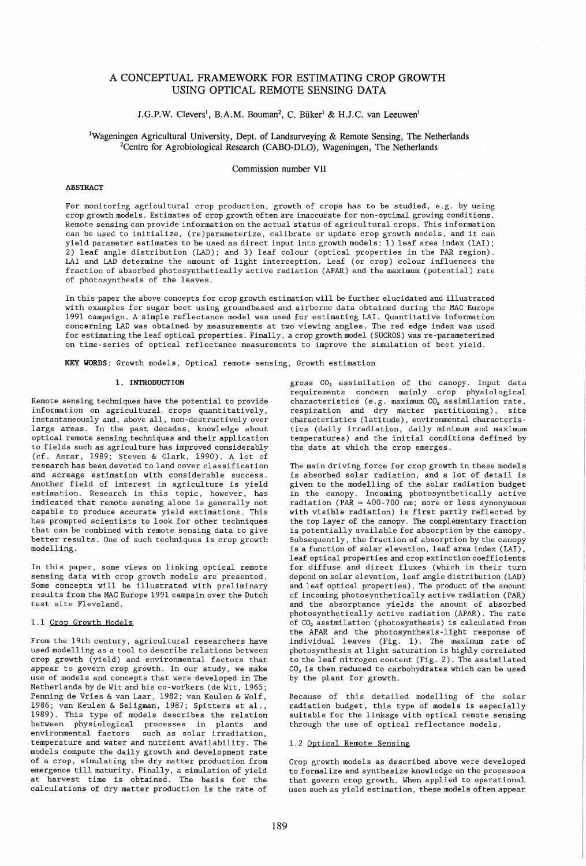# A CONCEPTUAL FRAMEWORK FOR ESTIMATING CROP GROWTH USING OPTICAL REMOTE SENSING DATA

# J.G.P.W. Clevers<sup>1</sup>, B.A.M. Bouman<sup>2</sup>, C. Büker<sup>1</sup> & H.J.C. van Leeuwen<sup>1</sup>

lWageningen Agricultural University, Dept. of Landsurveying & Remote Sensing, The Netherlands <sup>2</sup>Centre for Agrobiological Research (CABO-DLO), Wageningen, The Netherlands

# Commission number VII

# **ABSTRACT**

For monitoring agricultural crop production, growth of crops has to be studied, e.g. by using crop growth models. Estimates of crop growth often are inaccurate for non-optimal growing conditions. Remote sensing can provide information on the actual status of agricul tural crops. This information can be used to initialize, (re)parameterize, calibrate or update crop growth models, and it can yield parameter estimates to be used as direct input into growth models: 1) leaf area index (LAI); 2) leaf angle distribution (LAD); and 3) leaf colour (optical properties in the PAR region). LAI and LAD determine the amount of light interception. Leaf (or crop) colour influences the fraction of absorbed photosynthetically active radiation (APAR) and the maximum (potential) rate of photosynthesis of the leaves.

In this paper the above concepts for crop growth estimation will be further elucidated and illustrated with examples for sugar beet using groundbased and airborne data obtained during the MAC Europe 1991 campaign. A simple reflectance model was used for estimating LAI. Quantitative information concerning LAD was obtained by measurements at two viewing angles. The red edge index was used for estimating the leaf optical properties. Finally, a crop growth model (SUCROS) was re-parameterized on time-series of optical reflectance measurements to improve the simulation of beet yield.

KEY WORDS: Growth models, Optical remote sensing, Growth estimation

# 1. INTRODUCTION

Remote sensing techniques have the potential to provide information on agricultural, crops quantitatively, instantaneously and, above all, non-destructively over large areas. In the past decades, knowledge about optical remote sensing techniques and their application to fields such as agriculture has improved considerably (cf. Asrar, 1989; Steven & Clark, 1990). A lot of research has been devoted to land cover classification and acreage estimation with considerable success. Another field of interest in agriculture is yield estimation. Research in this topic, however, has indicated that remote sensing alone is generally not capable to produce accurate yield estimations. This has prompted scientists to look for other techniques that can be combined with remote sensing data to give better results. One of such techniques is crop growth modelling.

In this paper, some views on linking optical remote sensing data with crop growth models are presented. Some concepts will be illustrated with preliminary resul ts from the MAC Europe 1991 campain over the Dutch test site Flevoland.

#### 1.1 Crop Growth Models

From the 19th century, agricultural researchers have used modelling as a tool to describe relations between crop growth (yield) and environmental factors that appear to govern crop growth. In our study, we make use of models and concepts that were developed in The Netherlands by de Wit and his co-workers (de Wit, 1965; Penning de Vries & van Laar, 1982; van Keulen & Wolf, 1986; van Keulen & Seligman, 1987; Spitters et al., 1989). This type of models describes the relation between physiological processes in plants and such as solar irradiation, temperature and water and nutrient availability. The models compute the daily growth and development rate of a crop, simulating the dry matter production from emergence till maturity. Finally, a simulation of yield at harvest time is obtained. The basis for the calculations of dry matter production is the rate of

gross *CO2* assimilation of the canopy. Input data requirements concern mainly crop physiological characteristics (e.g. maximum *CO2* assimilation rate, respiration and dry matter partitioning), site characteristics (latitude), environmental characteristics (daily irradiation, daily minimum and maximum temperatures) and the initial conditions defined by the date at which the crop emerges.

The main driving force for crop growth in these models is absorbed solar radiation, and a lot of detail is given to the modelling of the solar radiation budget in the canopy. Incoming photosynthetically active radiation (PAR  $\approx$  400-700 nm; more or less synonymous with visible radiation) is first partly reflected by the top layer of the canopy. The complementary fraction is potentially available for absorption by the canopy. Subsequently, the fraction of absorption by the canopy is a function of solar elevation, leaf area index (LAI) , leaf optical properties and crop extinction coefficients for diffuse and direct fluxes (which in their turn depend on solar elevation, leaf angle distribution (LAD) and leaf optical properties). The product of the amount of incoming photosynthetically active radiation (PAR) and the absorptance yields the amount of absorbed photosynthetically active radiation (APAR). The rate of *CO2* assimilation (photosynthesis) is calculated from the APAR and the photosynthesis-light response of individual leaves (Fig. 1). The maximum rate of photosynthesis at light saturation is highly correlated to the leaf nitrogen content (Fig. 2). The assimilated *CO <sup>2</sup>*is then reduced to carbohydrates which can be used by the plant for growth.

Because of this detailed modelling of the solar radiation budget, this type of models is especially suitable for the linkage with optical remote sensing through the use of optical reflectance models.

# 1.2 Optical Remote Sensing

Crop growth models as described above were developed to formalize and synthesize knowledge on the processes that govern crop growth. When applied to operational uses such as yield estimation, these models often appear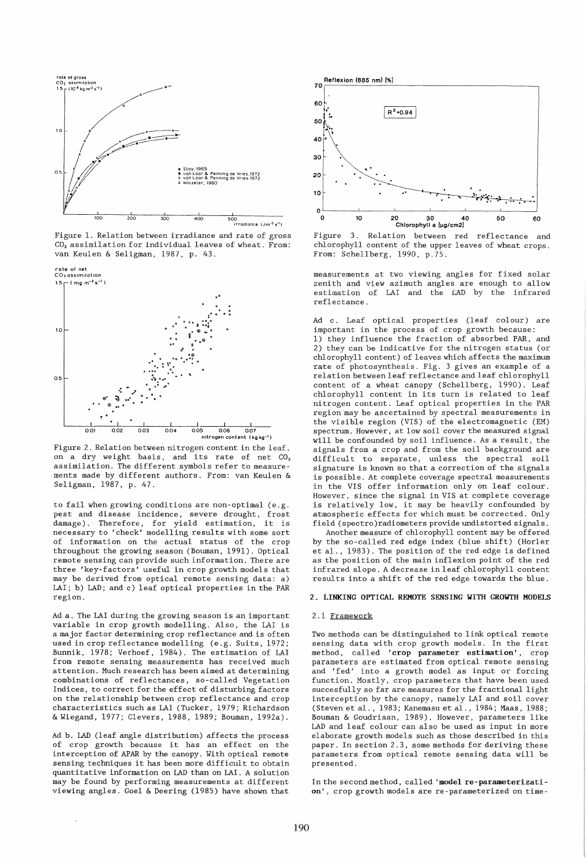

Figure 1. Relation between irradiance and rate of gross *CO2* assimilation for individual leaves of wheat. From: van Keulen & Seligman, 1987, p. 43.



Figure 2. Relation between ni trogen content in the leaf, on a dry weight basis, and its rate of net  $CO<sub>2</sub>$ assimilation. The different symbols refer to measure ments made by different authors. From: van Keulen & Seligman, 1987, p. 47.

to fail when growing conditions are non-optimal (e. g. pest and disease incidence, severe drought, frost damage). Therefore, for yield estimation, it is necessary to 'check' modelling results with some sort of information on the actual status of the crop throughout the growing season (Bouman, 1991). Optical remote sensing can provide such information. There are three 'key-factors' useful in crop growth models that may be derived from optical remote sensing data: a) LAI; b) LAD; and c) leaf optical properties in the PAR region.

Ad a. The LAI during the growing season is an important variable in crop growth modelling. Also, the LAI is a major factor determining crop reflectance and is often used in crop reflectance modelling (e.g. Suits, 1972; Bunnik, 1978; Verhoef, 1984). The estimation of LAI from remote sensing measurements has received much attention. Much research has been aimed at determining combinations of reflectances, so-called Vegetation Indices, to correct for the effect of disturbing factors on the relationship between crop reflectance and crop characteristics such as LAI (Tucker, 1979; Richardson & Wiegand, 1977; Clevers, 1988, 1989; Bouman, 1992a).

Ad b. LAD (leaf angle distribution) affects the process of crop growth because it has an effect on the interception of APAR by the canopy. With optical remote sensing techniques it has been more difficult to obtain quantitative information on LAD than on LAI. A solution may be found by performing measurements at different viewing angles. Goel & Deering (1985) have shown that



Figure 3. Relation between red reflectance and chlorophyll content of the upper leaves of wheat crops. From: Schellberg, 1990, p.75.

measurements at two viewing angles for fixed solar zenith and view azimuth angles are enough to allow estimation of LAI and the LAD by the infrared reflectance.

Ad c. Leaf optical properties (leaf colour) are important in the process of crop growth because:

1) they influence the fraction of absorbed PAR, and 2) they can be indicative for the nitrogen status (or chlorophyll content) of leaves which affects the maximum rate of photosynthesis. Fig. 3 gives an example of a relation between leaf reflectance and leaf chlorophyll content of a wheat canopy (Schellberg, 1990). Leaf chlorophyll content in its turn is related to leaf nitrogen content. Leaf optical properties in the PAR region may be ascertained by spectral measurements in the visible region (VIS) of the electromagnetic (EM) spectrum. However, at low soil cover the measured signal will be confounded by soil influence. As a result, the signals from a crop and from the soil background are difficult to separate, unless the spectral soil signature is known so that a correction of the signals is possible. At complete coverage spectral measurements in the VIS offer information only on leaf colour. However, since the signal in VIS at complete coverage is relatively low, it may be heavily confounded by atmospheric effects for which must be corrected. Only field (spectro )radiometers provide undistorted signals.

Another measure of chlorophyll content may be offered by the so-called red edge index (blue shift) (Horler et al., 1983). The position of the red edge is defined as the position of the main inflexion point of the red infrared slope. A decrease in leaf chlorophyll content results into a shift of the red edge towards the blue.

# 2. LINKING OPTICAL REMOTE SENSING WITH GROWTH MODELS

# 2.1 Framework

Two methods can be distinguished to link optical remote sensing data with crop growth models. In the first method, called 'crop parameter estimation', crop parameters are estimated from optical remote sensing and 'fed' into a growth model as input or forcing function. Mostly, crop parameters that have been used succesfully so far are measures for the fractional light interception by the canopy, namely LAI and soil cover (Steven et al., 1983; Kanemasu et al., 1984; Maas, 1988; Bouman & Goudriaan, 1989). However, parameters like LAD and leaf colour can also be used as input in more elaborate growth models such as those described in this paper. In section 2.3, some methods for deriving these parameters from optical remote sensing data will be presented.

In the second method, called 'model re-parameterization', crop growth models are re-parameterized on time-

190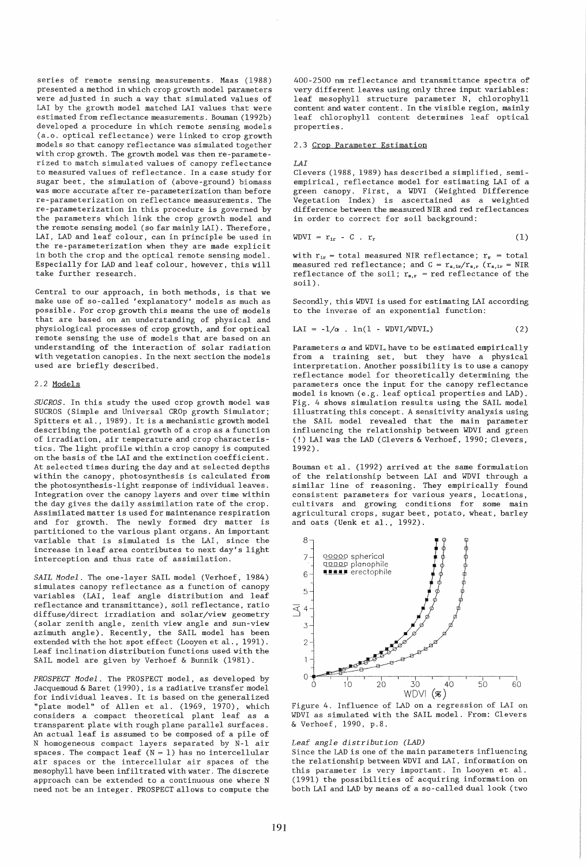series of remote sensing measurements. Maas (1988) presented a method in which crop growth model parameters were adjusted in such a way that simulated values of LAI by the growth model matched LAI values that were estimated from reflectance measurements. Bouman (1992b) developed a procedure in which remote sensing models (a.o. optical reflectance) were linked to crop growth models so that canopy reflectance was simulated together with crop growth. The growth model was then re-parameterized to match simulated values of canopy reflectance to measured values of reflectance. In a case study for sugar beet, the simulation of (above-ground) biomass was more accurate after re-parameterization than before re-parameterization on reflectance measurements. The re-parameterization in this procedure is governed by the parameters which link the crop growth model and the remote sensing model (so far mainly LAI). Therefore, LAI, LAD and leaf colour, can in principle be used in the re-parameterization when they are made explicit in both the crop and the optical remote sensing model. Especially for LAD and leaf colour, however, this will take further research.

Central to our approach, in both methods, is that we make use of so-called / explanatory' models as much as possible. For crop growth this means the use of models that are based on an understanding of physical and physiological processes of crop growth, and for optical remote sensing the use of models that are based on an understanding of the interaction of solar radiation with vegetation canopies. In the next section the models used are briefly described.

# 2.2 Models

*SUCROS.* In this study the used crop growth model was SUCROS (Simple and Universal CROp growth Simulator; Spitters et al., 1989). It is a mechanistic growth model describing the potential growth of a crop as a function of irradiation, air temperature and crop characteristics. The light profile within a crop canopy is computed on the basis of the LAI and the extinction coefficient. At selected times during the day and at selected depths within the canopy, photosynthesis is calculated from the photosynthesis-light response of individual leaves. Integration over the canopy layers and over time within the day gives the daily assimilation rate of the crop. Assimilated matter is used for maintenance respiration and for growth. The newly formed dry matter is partitioned to the various plant organs. An important variable that is simulated is the LAI, since the increase in leaf area contributes to next day's light interception and thus rate of assimilation.

*SAIL Model.* The one-layer SAIL model (Verhoef, 1984) simulates canopy reflectance as a function of canopy variables (LAI, leaf angle distribution and leaf reflectance and transmi ttance), soil reflectance, ratio diffuse/direct irradiation and solar/view geometry (solar zenith angle, zenith view angle and sun-view azimuth angle). Recently, the SAIL model has been extended with the hot spot effect (Looyen et al., 1991). Leaf inclination distribution functions used with the SAIL model are given by Verhoef & Bunnik (1981).

*PROSPECT Model.* The PROSPECT model, as developed by Jacquemoud & Baret (1990), is a radiative transfer model for individual leaves. It is based on the generalized "plate model" of Allen et a1. (1969, 1970), which considers a compact theoretical plant leaf as a transparent plate with rough plane parallel surfaces. An actual leaf is assumed to be composed of a pile of N homogeneous compact layers separated by N-l air spaces. The compact leaf  $(N = 1)$  has no intercellular air spaces or the intercellular air spaces of the mesophyll have been infiltrated with water. The discrete approach can be extended to a continuous one where N need not be an integer. PROSPECT allows to compute the

400-2500 **nm** reflectance and transmittance spectra of very different leaves using only three input variables: leaf mesophyll structure parameter N, chlorophyll content and water content. In the visible region, mainly leaf chlorophyll content determines leaf optical properties.

### 2.3 Crop Parameter Estimation

*LAI* 

Clevers (1988, 1989) has described a simplified, semiempirical, reflectance model for estimating LAI of a green canopy. First, a WDVI (Weighted Difference Vegetation Index) is ascertained as a weighted difference between the measured NIR and red reflectances in order to correct for soil background:

$$
WDVI = r_{ir} - C . r_r \tag{1}
$$

with  $r_{ir}$  = total measured NIR reflectance;  $r_r$  = total measured red reflectance; and  $C = r_{s,ir}/r_{s,r}$  ( $r_{s,ir} = NIR$ ) reflectance of the soil;  $r_{s,r}$  = red reflectance of the soil) .

Secondly, this WDVI is used for estimating LAI according to the inverse of an exponential function:

$$
LAI = -1/\alpha . ln(1 - WDVI/WDVI_*)
$$
 (2)

Parameters  $\alpha$  and WDVI<sub>\*</sub> have to be estimated empirically from a training set, but they have a physical interpretation. Another possibility is to use a canopy reflectance model for theoretically determining the parameters once the input for the canopy reflectance model is known (e.g. leaf optical properties and LAD). Fig. 4 shows simulation results using the SAIL model illustrating this concept. A sensitivity analysis using the SAIL model revealed that the main parameter influencing the relationship between WDVI and green (!) LAI was the LAD (Clevers & Verhoef, 1990; Clevers, 1992) .

Bouman et al. (1992) arrived at the same formulation of the relationship between LAI and WDVI through a similar line of reasoning. They empirically found consistent parameters for various years, locations, cultivars and growing conditions for some main agricul tural crops, sugar beet, potato, wheat, barley and oats (Uenk et al., 1992).



Figure 4. Influence of LAD on a regression of LAI on WDVI as simulated with the SAIL model. From: Clevers & Verhoef, 1990, p.8.

# *Leaf angle distribution (LAD)*

Since the LAD is one of the main parameters influencing the relationship between WDVI and LAI, information on this parameter is very important. In Looyen et al. (1991) the possibilities of acquiring information on both LAI and LAD by means of a so-called dual look (two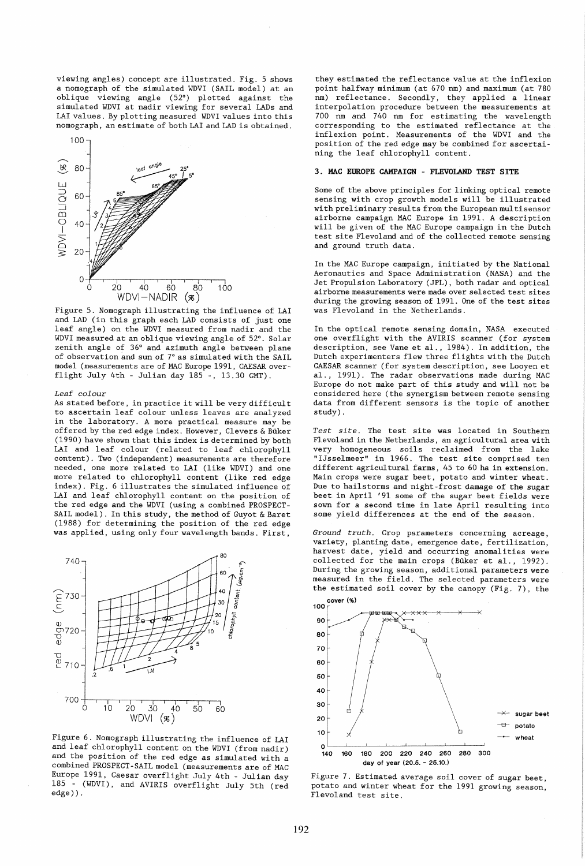viewing angles) concept are illustrated. Fig. 5 shows a nomograph of the simulated WDVI (SAIL model) at an oblique viewing angle (52°) plotted against the simulated WDVI at nadir viewing for several LADs and LAI values. By plotting measured WDVI values into this nomograph, an estimate of both LAI and LAD is obtained.



Figure 5. Nomograph illustrating the influence of LAI and LAD (in this graph each LAD consists of just one leaf angle) on the WDVI measured from nadir and the WDVI measured at an oblique viewing angle of 52°. Solar zenith angle of 36° and azimuth angle between plane of observation and sun of  $7^\circ$  as simulated with the SAIL model (measurements are of MAC Europe 1991, CAESAR overflight July 4th - Julian day 185 -, 13.30 GMT).

### *Leaf colour*

As stated before, in practice it will be very difficult to ascertain leaf colour unless leaves are analyzed in the laboratory. A more practical measure may be offered by the red edge index. However, Clevers & Buker (1990) have shown that this index is determined by both LAI and leaf colour (related to leaf chlorophyll content). Two (independent) measurements are therefore needed, one more related to LAI (like WDVI) and one more related to chlorophyll content (like red edge index). Fig. 6 illustrates the simulated influence of LAI and leaf chlorophyll content on the position of the red edge and the WDVI (using a combined PROSPECT-SAIL model). In this study, the method of Guyot & Baret (1988) for determining the position of the red edge was applied, using only four wavelength bands. First,



Figure 6. Nomograph illustrating the influence of LAI and leaf chlorophyll content on the WDVI (from nadir) and the position of the red edge as simulated with a combined PROSPECT-SAIL model (measurements are of MAC Europe 1991, Caesar overflight July 4th - Julian day 185 - (WDVI), and AVIRIS overflight July 5th (red edge)).

they estimated the reflectance value at the inflexion point halfway minimum (at 670 nm) and maximum (at 780 nm) reflectance. Secondly, they applied a linear interpolation procedure between the measurements at 700 nm and 740 nm for estimating the wavelength corresponding to the estimated reflectance at the inflexion point. Measurements of the WDVI and the position of the red edge may be combined for ascertaining the leaf chlorophyll content.

# 3. MAC EUROPE CAMPAIGN - FLEVOLAND TEST SITE

Some of the above principles for linking optical remote sensing with crop growth models will be illustrated wi th preliminary resul ts from the European mul tisensor airborne campaign MAC Europe in 1991. A description will be given of the MAC Europe campaign in the Dutch test site Flevoland and of the collected remote sensing and ground truth data.

In the MAC Europe campaign, initiated by the National Aeronautics and Space Administration (NASA) and the Jet Propulsion Laboratory (JPL) , both radar and optical airborne measurements were made over selected test sites during the growing season of 1991. One of the test sites was Flevoland in the Netherlands.

In the optical remote sensing domain, NASA executed one overflight with the AVIRIS scanner (for system description, see Vane et al., 1984). In addition, the Dutch experimenters flew three flights with the Dutch CAESAR scanner (for system description, see Looyen et al., 1991). The radar observations made during MAC Europe do not make part of this study and will not be considered here (the synergism between remote sensing data from different sensors is the topic of another study) .

*Test site.* The test site was located in Southern Flevoland in the Netherlands, an agricultural area with very homogeneous soils reclaimed from the lake "IJsselmeer" in 1966. The test site comprised ten different agricultural farms, 45 to 60 ha in extension. Main crops were sugar beet, potato and winter wheat. Due to hailstorms and night-frost damage of the sugar beet in April '91 some of the sugar beet fields were sown for a second time in late April resulting into some yield differences at the end of the season.

*Ground truth.* Crop parameters concerning acreage, variety, planting date, emergence date, fertilization, harvest date, yield and occurring anomalities were collected for the main crops (Buker et al., 1992). During the growing season, additional parameters were measured in the field. The selected parameters were the estimated soil cover by the canopy (Fig. 7), the



Figure 7. Estimated average soil cover of sugar beet, potato and winter wheat for the 1991 growing season, Flevoland test site.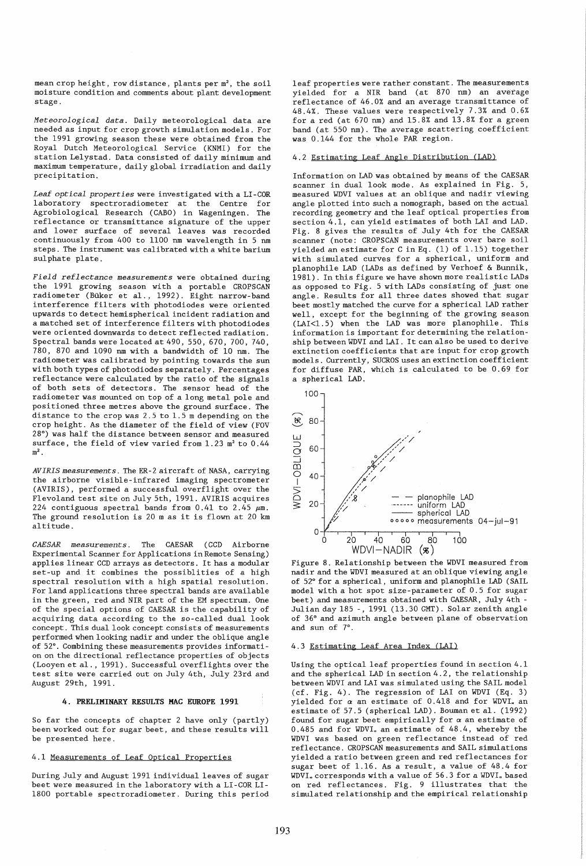mean crop height, row distance, plants per m<sup>2</sup>, the soil moisture condition and comments about plant development stage.

*Meteorological data.* Daily meteorological data are needed *as* input for crop growth simulation models. For the 1991 growing season these were obtained from the Royal Dutch Meteorological Service (KNMI) for the station Lelystad. Data consisted of daily minimum and maximum temperature, daily global irradiation and daily precipitation.

Leaf optical properties were investigated with a LI-COR laboratory spectroradiometer at the Centre for Agrobiological Research (CABO) in Wageningen. The reflectance or transmittance signature of the upper and lower surface of several leaves was recorded continuously from 400 to 1100 nm wavelength in 5 nm steps. The instrument was calibrated with a white barium sulphate plate.

*Field reflectance measurements* were obtained during the 1991 growing season with a portable CROPSCAN radiometer (Buker et al., 1992). Eight narrow-band interference filters with photodiodes were oriented upwards to detect hemispherical incident radiation and a matched set of interference fil ters wi th photodiodes were oriented downwards to detect reflected radiation. Spectral bands were located at 490, 550, 670, 700, 740, 780, 870 and 1090 nm with a bandwidth of 10 nm. The radiometer was calibrated by pointing towards the sun wi th both types of photodiodes separately. Percentages reflectance were calculated by the ratio of the signals of both sets of detectors. The sensor head of the radiometer was mounted on top of a long metal pole and positioned three metres above the ground surface. The distance to the crop was 2.5 to 1.5 m depending on the crop height. As the diameter of the field of view (FOV 28°) was half the distance between sensor and measured surface, the field of view varied from  $1.23$  m<sup>2</sup> to  $0.44$  $m<sup>2</sup>$ .

*AVIRIS measurements.* The ER-2 aircraft of NASA, carrying the airborne visible-infrared imaging spectrometer (AVIRIS), performed a successful overflight over the Flevoland test site on July 5th, 1991. AVIRIS acquires 224 contiguous spectral bands from  $0.41$  to  $2.45 ~\mu$ m. The ground resolution is 20 m as it is flown at 20 km altitude.

*CAESAR measurements.* The CAESAR (CCD Airborne Experimental Scanner for Applications in Remote Sensing) applies linear CCD arrays as detectors. It has a modular set-up and it combines the possiblities of a high spectral resolution with a high spatial resolution. For land applications three spectral bands are available in the green, red and NIR part of the EM spectrum. One of the special options of CAESAR is the capability of acquiring data according to the so-called dual look concept. This dual look concept consists of measurements performed when looking nadir and under the oblique angle of 52°. Combining these measurements provides information on the directional reflectance properties of objects (Looyen et al. , 1991). Successful overflights over the test site were carried out on July 4th, July 23rd and August 29th, 1991.

# **4.** PRELIMINARY RESULTS MAC EUROPE 1991

So far the concepts of chapter 2 have only (partly) been worked out for sugar beet, and these results will be presented here.

# 4.1 Measurements of Leaf Optical Properties

During July and August 1991 individual leaves of sugar beet were measured in the laboratory with a LI-COR LI-1800 portable spectroradiometer. During this period leaf properties were rather constant. The measurements yielded for a NIR band (at 870 nm) an average reflectance of 46.0% and an average transmittance of 48.4%. These values were respectively 7.3% and 0.6% for a red (at  $670$  nm) and  $15.\overline{88}$  and  $13.8\%$  for a green band (at 550 nm). The average scattering coefficient was 0.144 for the whole PAR region.

# 4.2 Estimating Leaf Angle Distribution (LAD)

Information on LAD was obtained by means of the CAESAR scanner in dual look mode. As explained in Fig. 5, measured WDVI values at an oblique and nadir viewing angle plotted into such a nomograph, based on the actual recording geometry and the leaf optical properties from section 4.1, can yield estimates of both LAI and LAD. Fig. 8 gives the results of July 4th for the CAESAR scanner (note: CROPSCAN measurements over bare soil yielded an estimate for C in Eq. (1) of 1. 15) together with simulated curves for a spherical, uniform and planophile LAD (LADs as defined by Verhoef & Bunnik, 1981). In this figure we have shown more realistic LADs as opposed to Fig. 5 with LADs consisting of just one angle. Results for all three dates showed that sugar beet mostly matched the curve for a spherical LAD rather well, except for the beginning of the growing season (LAI<1.5) when the LAD was more planophile. This information is important for determining the relationship between WDVI and LAI. It can also be used to derive extinction coefficients that are input for crop growth models. Currently, SUCROS uses an extinction coefficient for diffuse PAR, which is calculated to be 0.69 for a spherical LAD.



Figure 8. Relationship between the WDVI measured from nadir and the WDVI measured at an oblique viewing angle of 52° for a spherical, uniform and planophile LAD (SAIL model with a hot spot size-parameter of 0.5 for sugar beet) and measurements obtained with CAESAR, July 4th - Julian day 185 -, 1991 (13.30 GMT). Solar zenith angle of 36° and azimuth angle between plane of observation and sun of 7°.

# 4.3 Estimating Leaf Area Index (LAI)

Using the optical leaf properties found in section 4.1 and the spherical LAD in section 4.2, the relationship between WDVI and LAI was simulated using the SAIL model (cf. Fig. 4). The regression of LAI on WDVI (Eq. 3) yielded for  $\alpha$  an estimate of  $0.418$  and for WDVI<sub>\*</sub> an estimate of 57.5 (spherical LAD). Bouman et al. (1992) found for sugar beet empirically for  $\alpha$  an estimate of 0.485 and for WDVI. an estimate of 48.4, whereby the WDVI was based on green reflectance instead of red reflectance. CROPSCAN measurements and SAIL simulations yielded a ratio between green and red reflectances for sugar beet of 1.16. As a result, a value of 48.4 for WDVI. corresponds with a value of 56.3 for a WDVI. based on red reflectances. Fig. 9 illustrates that the simulated relationship and the empirical relationship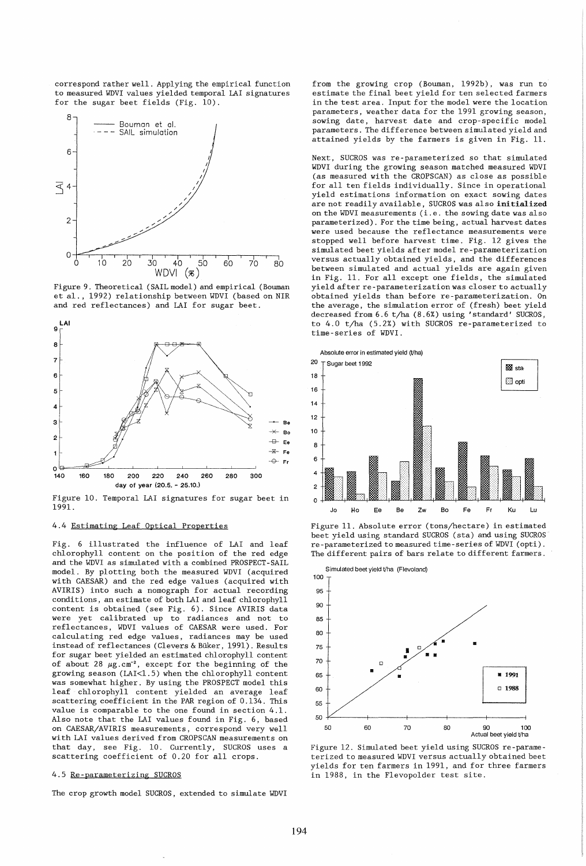correspond rather well. Applying the empirical function to measured WDVI values yielded temporal LAI signatures for the sugar beet fields (Fig. 10).



Figure 9. Theoretical (SAIL model) and empirical (Bouman et al., 1992) relationship between WDVI (based on NIR and red reflectances) and LAI for sugar beet.



Figure 10. Temporal LAI signatures for sugar beet in 1991.

# 4.4 Estimating Leaf Optical Properties

Fig. 6 illustrated the influence of LAI and leaf chlorophyll content on the position of the red edge and the WDVI as simulated with a combined PROSPECT-SAIL model. By plotting both the measured WDVI (acquired with CAESAR) and the red edge values (acquired with AVIRIS) into such a nomograph for actual recording conditions, an estimate of both LAI and leaf chlorophyll content is obtained (see Fig. 6). Since AVIRIS data were yet calibrated up to radiances and not to reflectances, WDVI values of CAESAR were used. For calculating red edge values, radiances may be used instead of reflectances (Clevers & Buker, 1991). Results for sugar beet yielded an estimated chlorophyll content of about 28  $\mu$ g.cm<sup>-2</sup>, except for the beginning of the growing season (LAI<1.5) when the chlorophyll content was somewhat higher. By using the PROSPECT model this leaf chlorophyll content yielded an average leaf scattering coefficient in the PAR region of 0.134. This value is comparable to the one found in section 4.1. Also note that the LAI values found in Fig. 6, based on CAESAR/AVIRIS measurements, correspond very well with LAI values derived from CROPSCAN measurements on that day, see Fig. 10. Currently, SUCROS uses a scattering coefficient of 0.20 for all crops.

### 4.5 Re-parameterizing SUCROS

The crop growth model SUCROS, extended to simulate WDVI

from the growing crop (Bouman, 1992b), was run to estimate the final beet yield for ten selected farmers in the test area. Input for the model were the location parameters, weather data for the 1991 growing season, sowing date, harvest date and crop-specific model parameters. The difference between simulated yield and attained yields by the farmers is given in Fig. 11.

Next, SUCROS was re-parameterized so that simulated WDVI during the growing season matched measured WDVI (as measured with the CROPSCAN) as close as possible for all ten fields individually. Since in operational yield estimations information on exact sowing dates are not readily available, SUCROS was also initialized on the WDVI measurements (i.e. the sowing date was also parameterized). For the time being, actual harvest dates were used because the reflectance measurements were stopped well before harvest time. Fig. 12 gives the simulated beet yields after model re-parameterization versus actually obtained yields, and the differences between simulated and actual yields are again given in Fig. 11. For all except one fields, the simulated yield after re-parameterization was closer to actually obtained yields than before re-parameterization. On the average, the simulation error of (fresh) beet yield decreased from 6.6 t/ha (8.6%) using 'standard' SUCROS, to 4.0 t/ha (5.2%) with SUCROS re-parameterized to time-series of WDVI.



Figure 11. Absolute error (tons/hectare) in estimated beet yield using standard SUCROS (sta) and using SUCROS re-parameterized to measured time-series of WDVI (opti). The different pairs of bars relate to different farmers.



Figure 12. Simulated beet yield using SUCROS re-parameterized to measured WDVI versus actually obtained beet yields for ten farmers in 1991, and for three farmers in 1988, in the Flevopolder test site.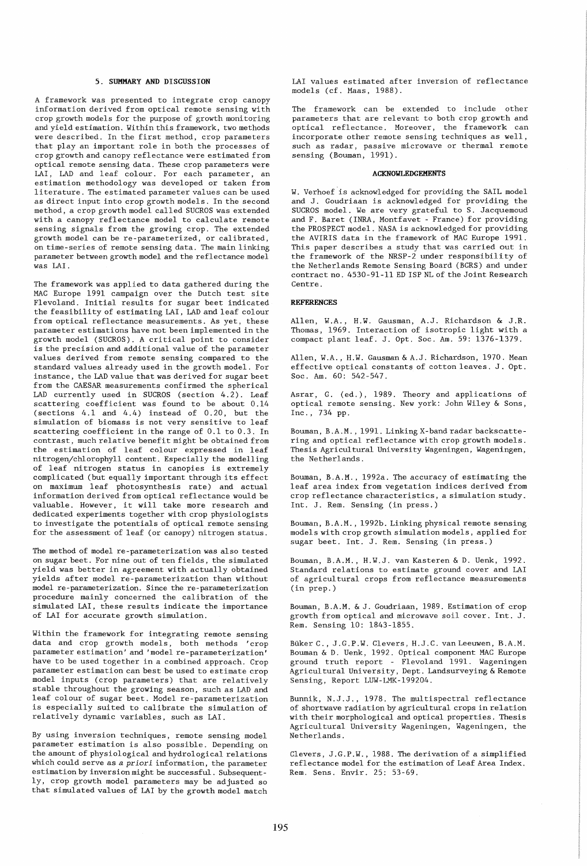#### **5. SUMMARY AND DISCUSSION**

A framework was presented to integrate crop canopy information derived from optical remote sensing with crop growth models for the purpose of growth monitoring and yield estimation. Within this framework, two methods were described. In the first method, crop parameters that play an important role in both the processes of crop growth and canopy reflectance were estimated from optical remote sensing data. These crop parameters were LAI, LAD and leaf colour. For each parameter, an estimation methodology was developed or taken from literature. The estimated parameter values can be used as direct input into crop growth models. In the second method, a crop growth model called SUCROS was extended with a canopy reflectance model to calculate remote sensing signals from the growing crop. The extended growth model can be re-parameterized, or calibrated, on time-series of remote sensing data. The main linking parameter between growth model and the reflectance model was LAI.

The framework was applied to data gathered during the MAC Europe 1991 campaign over the Dutch test site Flevoland. Initial results for sugar beet indicated the feasibility of estimating LAI, LAD and leaf colour from optical reflectance measurements. As yet, these parameter estimations have not been implemented in the growth model (SUCROS). A critical point to consider is the precision and additional value of the parameter values derived from remote sensing compared to the standard values already used in the growth model. For instance, the LAD value that was derived for sugar beet from the CAESAR measurements confirmed the spherical LAD currently used in SUCROS (section 4.2). Leaf scattering coefficient was found to be about 0.14 (sections 4.1 and 4.4) instead of 0.20, but the simulation of biomass is not very sensitive to leaf scattering coefficient in the range of 0.1 to 0.3. In contrast, much relative benefit might be obtained from the estimation of leaf colour expressed in leaf nitrogen/chlorophyll content. Especially the modelling of leaf nitrogen status in canopies is extremely complicated (but equally important through its effect on maximum leaf photosynthesis rate) and actual information derived from optical reflectance would be valuable. However, it will take more research and dedicated experiments together with crop physiologists to investigate the potentials of optical remote sensing for the assessment of leaf (or canopy) nitrogen status.

The method of model re-parameterization was also tested on sugar beet. For nine out of ten fields, the simulated yield was better in agreement with actually obtained yields after model re-parameterization than without model re-parameterization. Since the re-parameterization procedure mainly concerned the calibration of the simulated LAI, these results indicate the importance of LAI for accurate growth simulation.

Within the framework for integrating remote sensing data and crop growth models, both methods 'crop parameter estimation' and 'model re-parameterization' have to be used together in a combined approach. Crop parameter estimation can best be used to estimate crop model inputs (crop parameters) that are relatively stable throughout the growing season, such as LAD and leaf colour of sugar beet. Model re-parameterization is especially suited to calibrate the simulation of relatively dynamic variables, such as LAI.

By using inversion techniques, remote sensing model parameter estimation is also possible. Depending on the amount of physiological and hydrological relations which could serve as a *priori* information, the parameter estimation by inversion might be successful. Subsequently, crop growth model parameters may be adjusted so that simulated values of LAI by the growth model match LAI values estimated after inversion of reflectance models (cf. Maas, 1988).

The framework can be extended to include other parameters that are relevant to both crop growth and optical reflectance. Moreover, the framework can incorporate other remote sensing techniques as well, such as radar, passive microwave or thermal remote sensing (Bouman, 1991).

# **ACKNOWLEDGEMENTS**

W. Verhoef 'is acknowledged for providing the SAIL model and J. Goudriaan is acknowledged for providing the SUCROS model. We are very grateful to S. Jacquemoud and F. Baret (INRA, Montfavet - France) for providing the PROSPECT model. NASA is acknowledged for providing the AVIRIS data in the framework of MAC Europe 1991. This paper describes a study that was carried out in the framework of the NRSP-2 under responsibility of the Netherlands Remote Sensing Board (BCRS) and under contract no. 4530-91-11 ED ISP NL of the Joint Research Centre.

# **REFERENCES**

Allen, W.A., H.W. Gausman, A.J. Richardson & J.R. Thomas, 1969. Interaction of isotropic light with a compact plant leaf. J. Opt. Soc. Am. 59: 1376-1379.

Allen, W.A., H.W. Gausman & A.J. Richardson, 1970. Mean effective optical constants of cotton leaves. J. Opt. Soc. Am. 60: 542-547.

Asrar, G. (ed.), 1989. Theory and applications of optical remote sensing. New york: John Wiley & Sons, Inc., 734 pp.

Bouman, B.A.M., 1991. Linking X-band radar backscattering and optical reflectance with crop growth models. Thesis Agricultural University Wageningen, Wageningen, the Netherlands.

Bouman, B.A.M., 1992a. The accuracy of estimating the leaf area index from vegetation indices derived from crop reflectance characteristics, a simulation study. Int. J. Rem. Sensing (in press.)

Bouman, B.A.M., 1992b. Linking physical remote sensing models with crop growth simulation models, applied for sugar beet. Int. J. Rem. Sensing (in press.)

Bouman, B.A.M., H.W.J. van Kasteren & D. Uenk, 1992. Standard relations to estimate ground cover and LAI of agricultural crops from reflectance measurements (in prep.)

Bouman, B.A.M. & J. Goudriaan, 1989. Estimation of crop growth from optical and microwave soil cover. Int. J. Rem. Sensing 10: 1843-1855.

Buker C., J.G.P.W. Clevers, H.J.C. vanLeeuwen, B.A.M. Bouman & D. Uenk, 1992. Optical component MAC Europe ground truth report - Flevoland 1991. Wageningen Agricul tural Uni versi ty, Dept. Landsurveying & Remote Sensing, Report LUW-LMK-199204.

Bunnik, N.J.J., 1978. The multispectral reflectance of shortwave radiation by agricultural crops in relation with their morphological and optical properties. Thesis Agricultural University Wageningen, Wageningen, the Netherlands.

Clevers, J.G.P.W., 1988. The derivation of a simplified reflectance model for the estimation of Leaf Area Index. Rem. Sens. Envir. 25: 53-69.